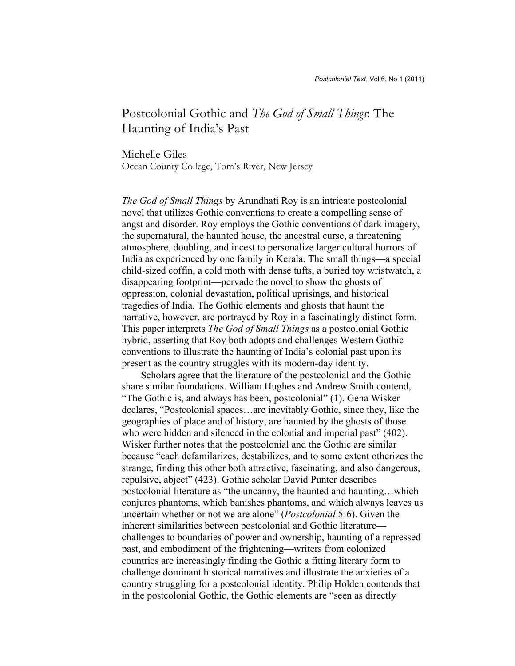# Postcolonial Gothic and *The God of Small Things*: The Haunting of India's Past

Michelle Giles Ocean County College, Tom's River, New Jersey

*The God of Small Things* by Arundhati Roy is an intricate postcolonial novel that utilizes Gothic conventions to create a compelling sense of angst and disorder. Roy employs the Gothic conventions of dark imagery, the supernatural, the haunted house, the ancestral curse, a threatening atmosphere, doubling, and incest to personalize larger cultural horrors of India as experienced by one family in Kerala. The small things—a special child-sized coffin, a cold moth with dense tufts, a buried toy wristwatch, a disappearing footprint—pervade the novel to show the ghosts of oppression, colonial devastation, political uprisings, and historical tragedies of India. The Gothic elements and ghosts that haunt the narrative, however, are portrayed by Roy in a fascinatingly distinct form. This paper interprets *The God of Small Things* as a postcolonial Gothic hybrid, asserting that Roy both adopts and challenges Western Gothic conventions to illustrate the haunting of India's colonial past upon its present as the country struggles with its modern-day identity.

Scholars agree that the literature of the postcolonial and the Gothic share similar foundations. William Hughes and Andrew Smith contend, "The Gothic is, and always has been, postcolonial" (1). Gena Wisker declares, "Postcolonial spaces…are inevitably Gothic, since they, like the geographies of place and of history, are haunted by the ghosts of those who were hidden and silenced in the colonial and imperial past" (402). Wisker further notes that the postcolonial and the Gothic are similar because "each defamilarizes, destabilizes, and to some extent otherizes the strange, finding this other both attractive, fascinating, and also dangerous, repulsive, abject" (423). Gothic scholar David Punter describes postcolonial literature as "the uncanny, the haunted and haunting…which conjures phantoms, which banishes phantoms, and which always leaves us uncertain whether or not we are alone" (*Postcolonial* 5-6). Given the inherent similarities between postcolonial and Gothic literature challenges to boundaries of power and ownership, haunting of a repressed past, and embodiment of the frightening—writers from colonized countries are increasingly finding the Gothic a fitting literary form to challenge dominant historical narratives and illustrate the anxieties of a country struggling for a postcolonial identity. Philip Holden contends that in the postcolonial Gothic, the Gothic elements are "seen as directly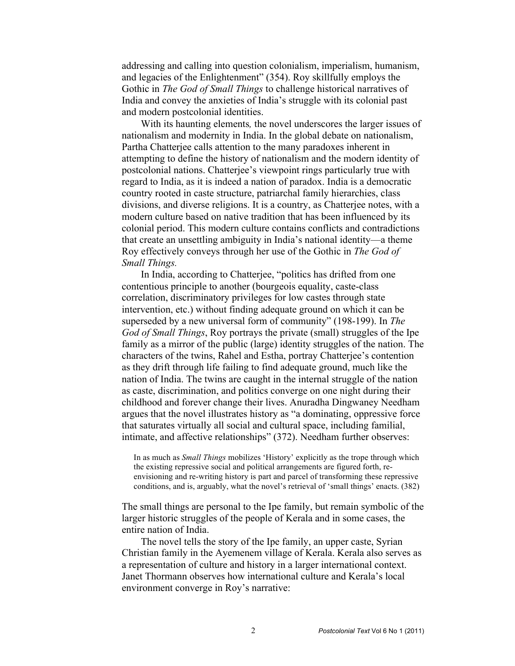addressing and calling into question colonialism, imperialism, humanism, and legacies of the Enlightenment" (354). Roy skillfully employs the Gothic in *The God of Small Things* to challenge historical narratives of India and convey the anxieties of India's struggle with its colonial past and modern postcolonial identities.

With its haunting elements*,* the novel underscores the larger issues of nationalism and modernity in India. In the global debate on nationalism, Partha Chatterjee calls attention to the many paradoxes inherent in attempting to define the history of nationalism and the modern identity of postcolonial nations. Chatterjee's viewpoint rings particularly true with regard to India, as it is indeed a nation of paradox. India is a democratic country rooted in caste structure, patriarchal family hierarchies, class divisions, and diverse religions. It is a country, as Chatterjee notes, with a modern culture based on native tradition that has been influenced by its colonial period. This modern culture contains conflicts and contradictions that create an unsettling ambiguity in India's national identity—a theme Roy effectively conveys through her use of the Gothic in *The God of Small Things.*

In India, according to Chatterjee, "politics has drifted from one contentious principle to another (bourgeois equality, caste-class correlation, discriminatory privileges for low castes through state intervention, etc.) without finding adequate ground on which it can be superseded by a new universal form of community" (198-199). In *The God of Small Things*, Roy portrays the private (small) struggles of the Ipe family as a mirror of the public (large) identity struggles of the nation. The characters of the twins, Rahel and Estha, portray Chatterjee's contention as they drift through life failing to find adequate ground, much like the nation of India. The twins are caught in the internal struggle of the nation as caste, discrimination, and politics converge on one night during their childhood and forever change their lives. Anuradha Dingwaney Needham argues that the novel illustrates history as "a dominating, oppressive force that saturates virtually all social and cultural space, including familial, intimate, and affective relationships" (372). Needham further observes:

In as much as *Small Things* mobilizes 'History' explicitly as the trope through which the existing repressive social and political arrangements are figured forth, reenvisioning and re-writing history is part and parcel of transforming these repressive conditions, and is, arguably, what the novel's retrieval of 'small things' enacts. (382)

The small things are personal to the Ipe family, but remain symbolic of the larger historic struggles of the people of Kerala and in some cases, the entire nation of India.

The novel tells the story of the Ipe family, an upper caste, Syrian Christian family in the Ayemenem village of Kerala. Kerala also serves as a representation of culture and history in a larger international context. Janet Thormann observes how international culture and Kerala's local environment converge in Roy's narrative: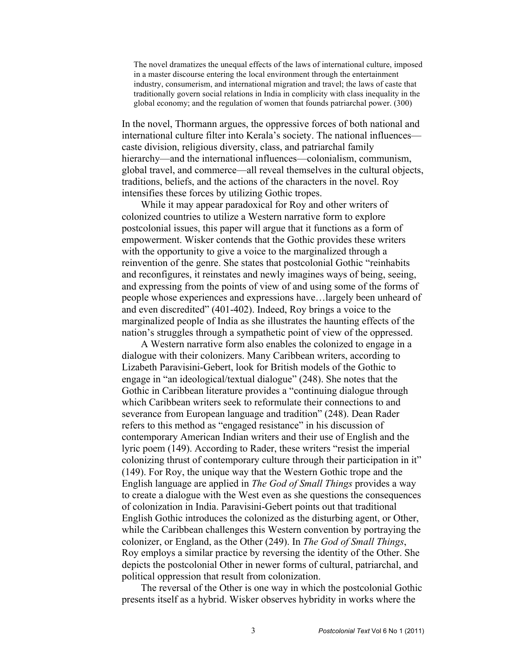The novel dramatizes the unequal effects of the laws of international culture, imposed in a master discourse entering the local environment through the entertainment industry, consumerism, and international migration and travel; the laws of caste that traditionally govern social relations in India in complicity with class inequality in the global economy; and the regulation of women that founds patriarchal power. (300)

In the novel, Thormann argues, the oppressive forces of both national and international culture filter into Kerala's society. The national influences caste division, religious diversity, class, and patriarchal family hierarchy—and the international influences—colonialism, communism, global travel, and commerce—all reveal themselves in the cultural objects, traditions, beliefs, and the actions of the characters in the novel. Roy intensifies these forces by utilizing Gothic tropes.

While it may appear paradoxical for Roy and other writers of colonized countries to utilize a Western narrative form to explore postcolonial issues, this paper will argue that it functions as a form of empowerment. Wisker contends that the Gothic provides these writers with the opportunity to give a voice to the marginalized through a reinvention of the genre. She states that postcolonial Gothic "reinhabits and reconfigures, it reinstates and newly imagines ways of being, seeing, and expressing from the points of view of and using some of the forms of people whose experiences and expressions have…largely been unheard of and even discredited" (401-402). Indeed, Roy brings a voice to the marginalized people of India as she illustrates the haunting effects of the nation's struggles through a sympathetic point of view of the oppressed.

A Western narrative form also enables the colonized to engage in a dialogue with their colonizers. Many Caribbean writers, according to Lizabeth Paravisini-Gebert, look for British models of the Gothic to engage in "an ideological/textual dialogue" (248). She notes that the Gothic in Caribbean literature provides a "continuing dialogue through which Caribbean writers seek to reformulate their connections to and severance from European language and tradition" (248). Dean Rader refers to this method as "engaged resistance" in his discussion of contemporary American Indian writers and their use of English and the lyric poem (149). According to Rader, these writers "resist the imperial colonizing thrust of contemporary culture through their participation in it" (149). For Roy, the unique way that the Western Gothic trope and the English language are applied in *The God of Small Things* provides a way to create a dialogue with the West even as she questions the consequences of colonization in India. Paravisini-Gebert points out that traditional English Gothic introduces the colonized as the disturbing agent, or Other, while the Caribbean challenges this Western convention by portraying the colonizer, or England, as the Other (249). In *The God of Small Things*, Roy employs a similar practice by reversing the identity of the Other. She depicts the postcolonial Other in newer forms of cultural, patriarchal, and political oppression that result from colonization.

The reversal of the Other is one way in which the postcolonial Gothic presents itself as a hybrid. Wisker observes hybridity in works where the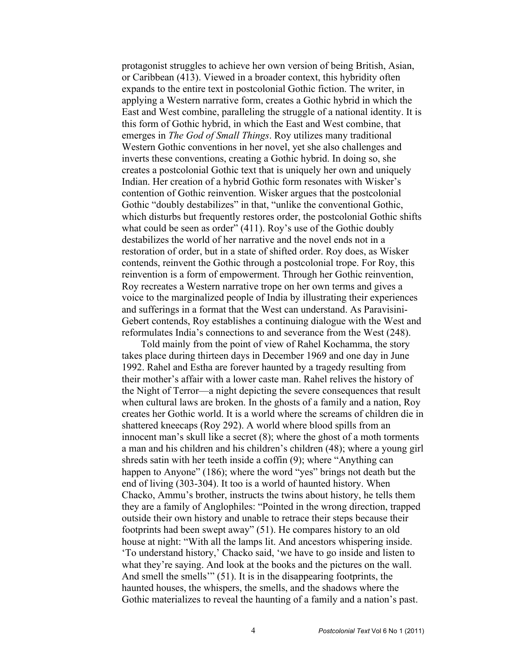protagonist struggles to achieve her own version of being British, Asian, or Caribbean (413). Viewed in a broader context, this hybridity often expands to the entire text in postcolonial Gothic fiction. The writer, in applying a Western narrative form, creates a Gothic hybrid in which the East and West combine, paralleling the struggle of a national identity. It is this form of Gothic hybrid, in which the East and West combine, that emerges in *The God of Small Things*. Roy utilizes many traditional Western Gothic conventions in her novel, yet she also challenges and inverts these conventions, creating a Gothic hybrid. In doing so, she creates a postcolonial Gothic text that is uniquely her own and uniquely Indian. Her creation of a hybrid Gothic form resonates with Wisker's contention of Gothic reinvention. Wisker argues that the postcolonial Gothic "doubly destabilizes" in that, "unlike the conventional Gothic, which disturbs but frequently restores order, the postcolonial Gothic shifts what could be seen as order" (411). Roy's use of the Gothic doubly destabilizes the world of her narrative and the novel ends not in a restoration of order, but in a state of shifted order. Roy does, as Wisker contends, reinvent the Gothic through a postcolonial trope. For Roy, this reinvention is a form of empowerment. Through her Gothic reinvention, Roy recreates a Western narrative trope on her own terms and gives a voice to the marginalized people of India by illustrating their experiences and sufferings in a format that the West can understand. As Paravisini-Gebert contends, Roy establishes a continuing dialogue with the West and reformulates India's connections to and severance from the West (248).

Told mainly from the point of view of Rahel Kochamma, the story takes place during thirteen days in December 1969 and one day in June 1992. Rahel and Estha are forever haunted by a tragedy resulting from their mother's affair with a lower caste man. Rahel relives the history of the Night of Terror—a night depicting the severe consequences that result when cultural laws are broken. In the ghosts of a family and a nation, Roy creates her Gothic world. It is a world where the screams of children die in shattered kneecaps (Roy 292). A world where blood spills from an innocent man's skull like a secret (8); where the ghost of a moth torments a man and his children and his children's children (48); where a young girl shreds satin with her teeth inside a coffin (9); where "Anything can happen to Anyone" (186); where the word "yes" brings not death but the end of living (303-304). It too is a world of haunted history. When Chacko, Ammu's brother, instructs the twins about history, he tells them they are a family of Anglophiles: "Pointed in the wrong direction, trapped outside their own history and unable to retrace their steps because their footprints had been swept away" (51). He compares history to an old house at night: "With all the lamps lit. And ancestors whispering inside. 'To understand history,' Chacko said, 'we have to go inside and listen to what they're saying. And look at the books and the pictures on the wall. And smell the smells'" (51). It is in the disappearing footprints, the haunted houses, the whispers, the smells, and the shadows where the Gothic materializes to reveal the haunting of a family and a nation's past.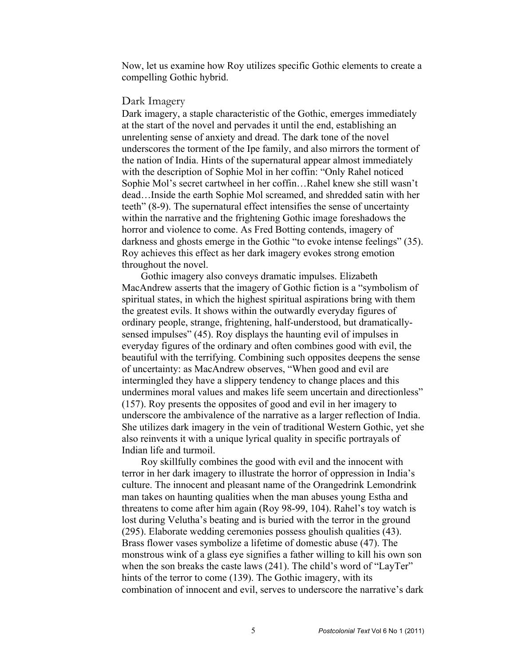Now, let us examine how Roy utilizes specific Gothic elements to create a compelling Gothic hybrid.

### Dark Imagery

Dark imagery, a staple characteristic of the Gothic, emerges immediately at the start of the novel and pervades it until the end, establishing an unrelenting sense of anxiety and dread. The dark tone of the novel underscores the torment of the Ipe family, and also mirrors the torment of the nation of India. Hints of the supernatural appear almost immediately with the description of Sophie Mol in her coffin: "Only Rahel noticed Sophie Mol's secret cartwheel in her coffin…Rahel knew she still wasn't dead…Inside the earth Sophie Mol screamed, and shredded satin with her teeth" (8-9). The supernatural effect intensifies the sense of uncertainty within the narrative and the frightening Gothic image foreshadows the horror and violence to come. As Fred Botting contends, imagery of darkness and ghosts emerge in the Gothic "to evoke intense feelings" (35). Roy achieves this effect as her dark imagery evokes strong emotion throughout the novel.

Gothic imagery also conveys dramatic impulses. Elizabeth MacAndrew asserts that the imagery of Gothic fiction is a "symbolism of spiritual states, in which the highest spiritual aspirations bring with them the greatest evils. It shows within the outwardly everyday figures of ordinary people, strange, frightening, half-understood, but dramaticallysensed impulses" (45). Roy displays the haunting evil of impulses in everyday figures of the ordinary and often combines good with evil, the beautiful with the terrifying. Combining such opposites deepens the sense of uncertainty: as MacAndrew observes, "When good and evil are intermingled they have a slippery tendency to change places and this undermines moral values and makes life seem uncertain and directionless" (157). Roy presents the opposites of good and evil in her imagery to underscore the ambivalence of the narrative as a larger reflection of India. She utilizes dark imagery in the vein of traditional Western Gothic, yet she also reinvents it with a unique lyrical quality in specific portrayals of Indian life and turmoil.

Roy skillfully combines the good with evil and the innocent with terror in her dark imagery to illustrate the horror of oppression in India's culture. The innocent and pleasant name of the Orangedrink Lemondrink man takes on haunting qualities when the man abuses young Estha and threatens to come after him again (Roy 98-99, 104). Rahel's toy watch is lost during Velutha's beating and is buried with the terror in the ground (295). Elaborate wedding ceremonies possess ghoulish qualities (43). Brass flower vases symbolize a lifetime of domestic abuse (47). The monstrous wink of a glass eye signifies a father willing to kill his own son when the son breaks the caste laws (241). The child's word of "LayTer" hints of the terror to come (139). The Gothic imagery, with its combination of innocent and evil, serves to underscore the narrative's dark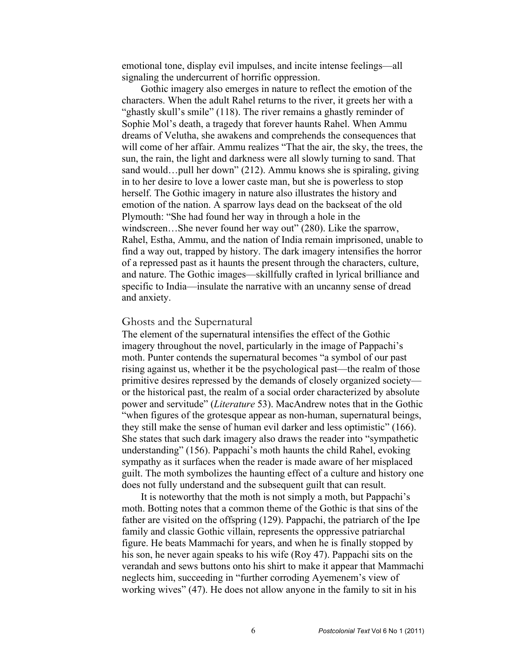emotional tone, display evil impulses, and incite intense feelings—all signaling the undercurrent of horrific oppression.

Gothic imagery also emerges in nature to reflect the emotion of the characters. When the adult Rahel returns to the river, it greets her with a "ghastly skull's smile" (118). The river remains a ghastly reminder of Sophie Mol's death, a tragedy that forever haunts Rahel. When Ammu dreams of Velutha, she awakens and comprehends the consequences that will come of her affair. Ammu realizes "That the air, the sky, the trees, the sun, the rain, the light and darkness were all slowly turning to sand. That sand would…pull her down" (212). Ammu knows she is spiraling, giving in to her desire to love a lower caste man, but she is powerless to stop herself. The Gothic imagery in nature also illustrates the history and emotion of the nation. A sparrow lays dead on the backseat of the old Plymouth: "She had found her way in through a hole in the windscreen...She never found her way out" (280). Like the sparrow, Rahel, Estha, Ammu, and the nation of India remain imprisoned, unable to find a way out, trapped by history. The dark imagery intensifies the horror of a repressed past as it haunts the present through the characters, culture, and nature. The Gothic images—skillfully crafted in lyrical brilliance and specific to India—insulate the narrative with an uncanny sense of dread and anxiety.

#### Ghosts and the Supernatural

The element of the supernatural intensifies the effect of the Gothic imagery throughout the novel, particularly in the image of Pappachi's moth. Punter contends the supernatural becomes "a symbol of our past rising against us, whether it be the psychological past—the realm of those primitive desires repressed by the demands of closely organized society or the historical past, the realm of a social order characterized by absolute power and servitude" (*Literature* 53). MacAndrew notes that in the Gothic "when figures of the grotesque appear as non-human, supernatural beings, they still make the sense of human evil darker and less optimistic" (166). She states that such dark imagery also draws the reader into "sympathetic understanding" (156). Pappachi's moth haunts the child Rahel, evoking sympathy as it surfaces when the reader is made aware of her misplaced guilt. The moth symbolizes the haunting effect of a culture and history one does not fully understand and the subsequent guilt that can result.

It is noteworthy that the moth is not simply a moth, but Pappachi's moth. Botting notes that a common theme of the Gothic is that sins of the father are visited on the offspring (129). Pappachi, the patriarch of the Ipe family and classic Gothic villain, represents the oppressive patriarchal figure. He beats Mammachi for years, and when he is finally stopped by his son, he never again speaks to his wife (Roy 47). Pappachi sits on the verandah and sews buttons onto his shirt to make it appear that Mammachi neglects him, succeeding in "further corroding Ayemenem's view of working wives" (47). He does not allow anyone in the family to sit in his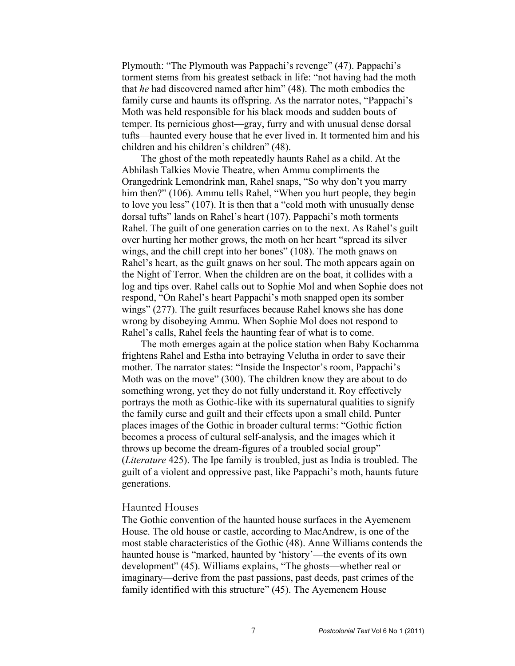Plymouth: "The Plymouth was Pappachi's revenge" (47). Pappachi's torment stems from his greatest setback in life: "not having had the moth that *he* had discovered named after him" (48). The moth embodies the family curse and haunts its offspring. As the narrator notes, "Pappachi's Moth was held responsible for his black moods and sudden bouts of temper. Its pernicious ghost—gray, furry and with unusual dense dorsal tufts—haunted every house that he ever lived in. It tormented him and his children and his children's children" (48).

The ghost of the moth repeatedly haunts Rahel as a child. At the Abhilash Talkies Movie Theatre, when Ammu compliments the Orangedrink Lemondrink man, Rahel snaps, "So why don't you marry him then?" (106). Ammu tells Rahel, "When you hurt people, they begin to love you less" (107). It is then that a "cold moth with unusually dense dorsal tufts" lands on Rahel's heart (107). Pappachi's moth torments Rahel. The guilt of one generation carries on to the next. As Rahel's guilt over hurting her mother grows, the moth on her heart "spread its silver wings, and the chill crept into her bones" (108). The moth gnaws on Rahel's heart, as the guilt gnaws on her soul. The moth appears again on the Night of Terror. When the children are on the boat, it collides with a log and tips over. Rahel calls out to Sophie Mol and when Sophie does not respond, "On Rahel's heart Pappachi's moth snapped open its somber wings" (277). The guilt resurfaces because Rahel knows she has done wrong by disobeying Ammu. When Sophie Mol does not respond to Rahel's calls, Rahel feels the haunting fear of what is to come.

The moth emerges again at the police station when Baby Kochamma frightens Rahel and Estha into betraying Velutha in order to save their mother. The narrator states: "Inside the Inspector's room, Pappachi's Moth was on the move" (300). The children know they are about to do something wrong, yet they do not fully understand it. Roy effectively portrays the moth as Gothic-like with its supernatural qualities to signify the family curse and guilt and their effects upon a small child. Punter places images of the Gothic in broader cultural terms: "Gothic fiction becomes a process of cultural self-analysis, and the images which it throws up become the dream-figures of a troubled social group" (*Literature* 425). The Ipe family is troubled, just as India is troubled. The guilt of a violent and oppressive past, like Pappachi's moth, haunts future generations.

### Haunted Houses

The Gothic convention of the haunted house surfaces in the Ayemenem House. The old house or castle, according to MacAndrew, is one of the most stable characteristics of the Gothic (48). Anne Williams contends the haunted house is "marked, haunted by 'history'—the events of its own development" (45). Williams explains, "The ghosts—whether real or imaginary—derive from the past passions, past deeds, past crimes of the family identified with this structure" (45). The Ayemenem House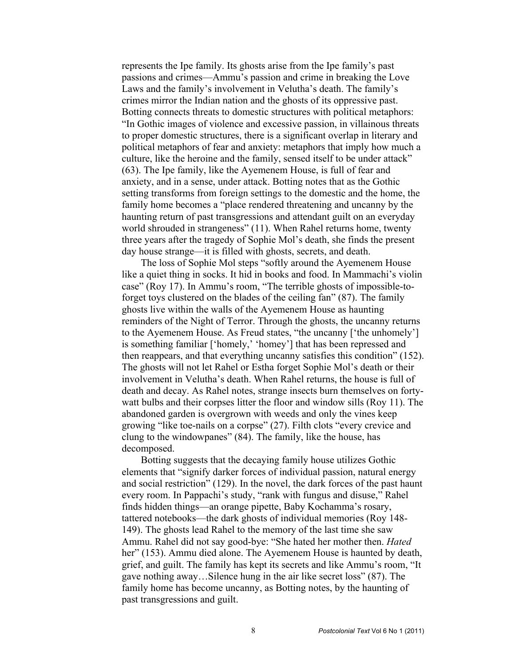represents the Ipe family. Its ghosts arise from the Ipe family's past passions and crimes—Ammu's passion and crime in breaking the Love Laws and the family's involvement in Velutha's death. The family's crimes mirror the Indian nation and the ghosts of its oppressive past. Botting connects threats to domestic structures with political metaphors: "In Gothic images of violence and excessive passion, in villainous threats to proper domestic structures, there is a significant overlap in literary and political metaphors of fear and anxiety: metaphors that imply how much a culture, like the heroine and the family, sensed itself to be under attack" (63). The Ipe family, like the Ayemenem House, is full of fear and anxiety, and in a sense, under attack. Botting notes that as the Gothic setting transforms from foreign settings to the domestic and the home, the family home becomes a "place rendered threatening and uncanny by the haunting return of past transgressions and attendant guilt on an everyday world shrouded in strangeness" (11). When Rahel returns home, twenty three years after the tragedy of Sophie Mol's death, she finds the present day house strange—it is filled with ghosts, secrets, and death.

The loss of Sophie Mol steps "softly around the Ayemenem House like a quiet thing in socks. It hid in books and food. In Mammachi's violin case" (Roy 17). In Ammu's room, "The terrible ghosts of impossible-toforget toys clustered on the blades of the ceiling fan" (87). The family ghosts live within the walls of the Ayemenem House as haunting reminders of the Night of Terror. Through the ghosts, the uncanny returns to the Ayemenem House. As Freud states, "the uncanny ['the unhomely'] is something familiar ['homely,' 'homey'] that has been repressed and then reappears, and that everything uncanny satisfies this condition" (152). The ghosts will not let Rahel or Estha forget Sophie Mol's death or their involvement in Velutha's death. When Rahel returns, the house is full of death and decay. As Rahel notes, strange insects burn themselves on fortywatt bulbs and their corpses litter the floor and window sills (Roy 11). The abandoned garden is overgrown with weeds and only the vines keep growing "like toe-nails on a corpse" (27). Filth clots "every crevice and clung to the windowpanes" (84). The family, like the house, has decomposed.

Botting suggests that the decaying family house utilizes Gothic elements that "signify darker forces of individual passion, natural energy and social restriction" (129). In the novel, the dark forces of the past haunt every room. In Pappachi's study, "rank with fungus and disuse," Rahel finds hidden things—an orange pipette, Baby Kochamma's rosary, tattered notebooks—the dark ghosts of individual memories (Roy 148- 149). The ghosts lead Rahel to the memory of the last time she saw Ammu. Rahel did not say good-bye: "She hated her mother then. *Hated*  her" (153). Ammu died alone. The Ayemenem House is haunted by death, grief, and guilt. The family has kept its secrets and like Ammu's room, "It gave nothing away…Silence hung in the air like secret loss" (87). The family home has become uncanny, as Botting notes, by the haunting of past transgressions and guilt.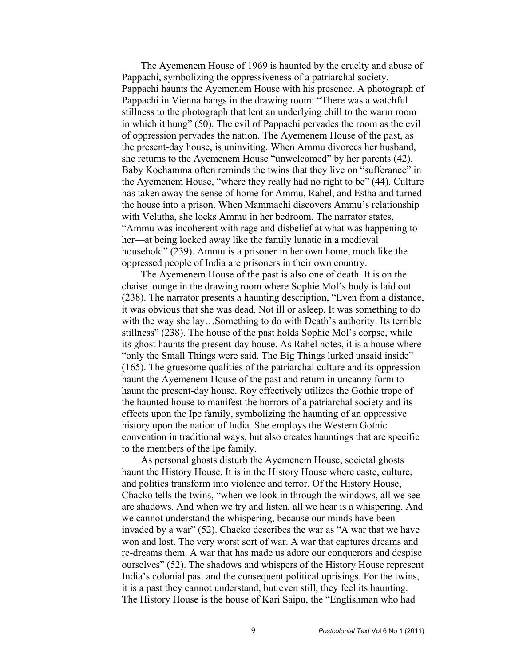The Ayemenem House of 1969 is haunted by the cruelty and abuse of Pappachi, symbolizing the oppressiveness of a patriarchal society. Pappachi haunts the Ayemenem House with his presence. A photograph of Pappachi in Vienna hangs in the drawing room: "There was a watchful stillness to the photograph that lent an underlying chill to the warm room in which it hung" (50). The evil of Pappachi pervades the room as the evil of oppression pervades the nation. The Ayemenem House of the past, as the present-day house, is uninviting. When Ammu divorces her husband, she returns to the Ayemenem House "unwelcomed" by her parents (42). Baby Kochamma often reminds the twins that they live on "sufferance" in the Ayemenem House, "where they really had no right to be" (44). Culture has taken away the sense of home for Ammu, Rahel, and Estha and turned the house into a prison. When Mammachi discovers Ammu's relationship with Velutha, she locks Ammu in her bedroom. The narrator states, "Ammu was incoherent with rage and disbelief at what was happening to her—at being locked away like the family lunatic in a medieval household" (239). Ammu is a prisoner in her own home, much like the oppressed people of India are prisoners in their own country.

The Ayemenem House of the past is also one of death. It is on the chaise lounge in the drawing room where Sophie Mol's body is laid out (238). The narrator presents a haunting description, "Even from a distance, it was obvious that she was dead. Not ill or asleep. It was something to do with the way she lay...Something to do with Death's authority. Its terrible stillness" (238). The house of the past holds Sophie Mol's corpse, while its ghost haunts the present-day house. As Rahel notes, it is a house where "only the Small Things were said. The Big Things lurked unsaid inside" (165). The gruesome qualities of the patriarchal culture and its oppression haunt the Ayemenem House of the past and return in uncanny form to haunt the present-day house. Roy effectively utilizes the Gothic trope of the haunted house to manifest the horrors of a patriarchal society and its effects upon the Ipe family, symbolizing the haunting of an oppressive history upon the nation of India. She employs the Western Gothic convention in traditional ways, but also creates hauntings that are specific to the members of the Ipe family.

As personal ghosts disturb the Ayemenem House, societal ghosts haunt the History House. It is in the History House where caste, culture, and politics transform into violence and terror. Of the History House, Chacko tells the twins, "when we look in through the windows, all we see are shadows. And when we try and listen, all we hear is a whispering. And we cannot understand the whispering, because our minds have been invaded by a war" (52). Chacko describes the war as "A war that we have won and lost. The very worst sort of war. A war that captures dreams and re-dreams them. A war that has made us adore our conquerors and despise ourselves" (52). The shadows and whispers of the History House represent India's colonial past and the consequent political uprisings. For the twins, it is a past they cannot understand, but even still, they feel its haunting. The History House is the house of Kari Saipu, the "Englishman who had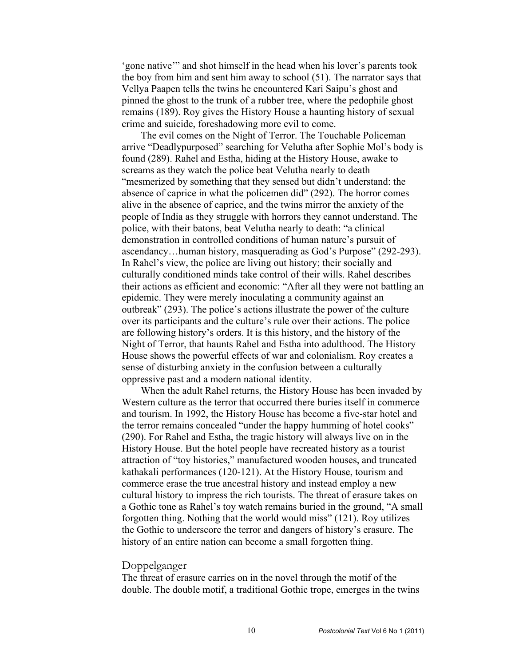'gone native'" and shot himself in the head when his lover's parents took the boy from him and sent him away to school (51). The narrator says that Vellya Paapen tells the twins he encountered Kari Saipu's ghost and pinned the ghost to the trunk of a rubber tree, where the pedophile ghost remains (189). Roy gives the History House a haunting history of sexual crime and suicide, foreshadowing more evil to come.

The evil comes on the Night of Terror. The Touchable Policeman arrive "Deadlypurposed" searching for Velutha after Sophie Mol's body is found (289). Rahel and Estha, hiding at the History House, awake to screams as they watch the police beat Velutha nearly to death "mesmerized by something that they sensed but didn't understand: the absence of caprice in what the policemen did" (292). The horror comes alive in the absence of caprice, and the twins mirror the anxiety of the people of India as they struggle with horrors they cannot understand. The police, with their batons, beat Velutha nearly to death: "a clinical demonstration in controlled conditions of human nature's pursuit of ascendancy…human history, masquerading as God's Purpose" (292-293). In Rahel's view, the police are living out history; their socially and culturally conditioned minds take control of their wills. Rahel describes their actions as efficient and economic: "After all they were not battling an epidemic. They were merely inoculating a community against an outbreak" (293). The police's actions illustrate the power of the culture over its participants and the culture's rule over their actions. The police are following history's orders. It is this history, and the history of the Night of Terror, that haunts Rahel and Estha into adulthood. The History House shows the powerful effects of war and colonialism. Roy creates a sense of disturbing anxiety in the confusion between a culturally oppressive past and a modern national identity.

When the adult Rahel returns, the History House has been invaded by Western culture as the terror that occurred there buries itself in commerce and tourism. In 1992, the History House has become a five-star hotel and the terror remains concealed "under the happy humming of hotel cooks" (290). For Rahel and Estha, the tragic history will always live on in the History House. But the hotel people have recreated history as a tourist attraction of "toy histories," manufactured wooden houses, and truncated kathakali performances (120-121). At the History House, tourism and commerce erase the true ancestral history and instead employ a new cultural history to impress the rich tourists. The threat of erasure takes on a Gothic tone as Rahel's toy watch remains buried in the ground, "A small forgotten thing. Nothing that the world would miss" (121). Roy utilizes the Gothic to underscore the terror and dangers of history's erasure. The history of an entire nation can become a small forgotten thing.

## Doppelganger

The threat of erasure carries on in the novel through the motif of the double. The double motif, a traditional Gothic trope, emerges in the twins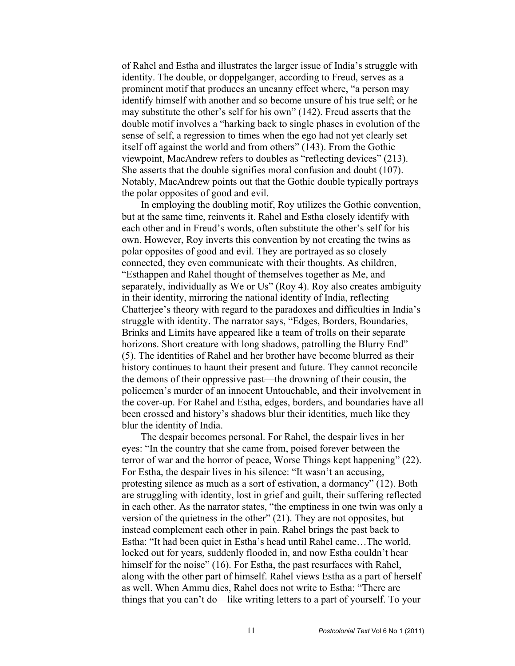of Rahel and Estha and illustrates the larger issue of India's struggle with identity. The double, or doppelganger, according to Freud, serves as a prominent motif that produces an uncanny effect where, "a person may identify himself with another and so become unsure of his true self; or he may substitute the other's self for his own" (142). Freud asserts that the double motif involves a "harking back to single phases in evolution of the sense of self, a regression to times when the ego had not yet clearly set itself off against the world and from others" (143). From the Gothic viewpoint, MacAndrew refers to doubles as "reflecting devices" (213). She asserts that the double signifies moral confusion and doubt (107). Notably, MacAndrew points out that the Gothic double typically portrays the polar opposites of good and evil.

In employing the doubling motif, Roy utilizes the Gothic convention, but at the same time, reinvents it. Rahel and Estha closely identify with each other and in Freud's words, often substitute the other's self for his own. However, Roy inverts this convention by not creating the twins as polar opposites of good and evil. They are portrayed as so closely connected, they even communicate with their thoughts. As children, "Esthappen and Rahel thought of themselves together as Me, and separately, individually as We or Us" (Roy 4). Roy also creates ambiguity in their identity, mirroring the national identity of India, reflecting Chatterjee's theory with regard to the paradoxes and difficulties in India's struggle with identity. The narrator says, "Edges, Borders, Boundaries, Brinks and Limits have appeared like a team of trolls on their separate horizons. Short creature with long shadows, patrolling the Blurry End" (5). The identities of Rahel and her brother have become blurred as their history continues to haunt their present and future. They cannot reconcile the demons of their oppressive past—the drowning of their cousin, the policemen's murder of an innocent Untouchable, and their involvement in the cover-up. For Rahel and Estha, edges, borders, and boundaries have all been crossed and history's shadows blur their identities, much like they blur the identity of India.

The despair becomes personal. For Rahel, the despair lives in her eyes: "In the country that she came from, poised forever between the terror of war and the horror of peace, Worse Things kept happening" (22). For Estha, the despair lives in his silence: "It wasn't an accusing, protesting silence as much as a sort of estivation, a dormancy" (12). Both are struggling with identity, lost in grief and guilt, their suffering reflected in each other. As the narrator states, "the emptiness in one twin was only a version of the quietness in the other"  $(21)$ . They are not opposites, but instead complement each other in pain. Rahel brings the past back to Estha: "It had been quiet in Estha's head until Rahel came…The world, locked out for years, suddenly flooded in, and now Estha couldn't hear himself for the noise" (16). For Estha, the past resurfaces with Rahel, along with the other part of himself. Rahel views Estha as a part of herself as well. When Ammu dies, Rahel does not write to Estha: "There are things that you can't do—like writing letters to a part of yourself. To your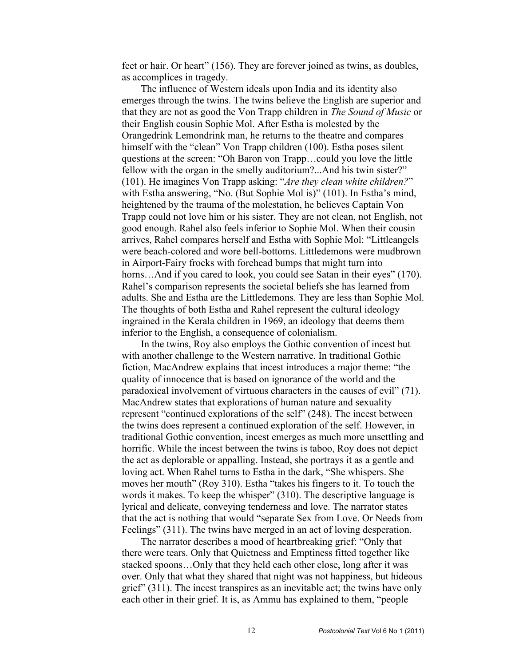feet or hair. Or heart" (156). They are forever joined as twins, as doubles, as accomplices in tragedy.

The influence of Western ideals upon India and its identity also emerges through the twins. The twins believe the English are superior and that they are not as good the Von Trapp children in *The Sound of Music* or their English cousin Sophie Mol. After Estha is molested by the Orangedrink Lemondrink man, he returns to the theatre and compares himself with the "clean" Von Trapp children (100). Estha poses silent questions at the screen: "Oh Baron von Trapp…could you love the little fellow with the organ in the smelly auditorium?...And his twin sister?" (101). He imagines Von Trapp asking: "*Are they clean white children?*" with Estha answering, "No. (But Sophie Mol is)" (101). In Estha's mind, heightened by the trauma of the molestation, he believes Captain Von Trapp could not love him or his sister. They are not clean, not English, not good enough. Rahel also feels inferior to Sophie Mol. When their cousin arrives, Rahel compares herself and Estha with Sophie Mol: "Littleangels were beach-colored and wore bell-bottoms. Littledemons were mudbrown in Airport-Fairy frocks with forehead bumps that might turn into horns...And if you cared to look, you could see Satan in their eyes" (170). Rahel's comparison represents the societal beliefs she has learned from adults. She and Estha are the Littledemons. They are less than Sophie Mol. The thoughts of both Estha and Rahel represent the cultural ideology ingrained in the Kerala children in 1969, an ideology that deems them inferior to the English, a consequence of colonialism.

In the twins, Roy also employs the Gothic convention of incest but with another challenge to the Western narrative. In traditional Gothic fiction, MacAndrew explains that incest introduces a major theme: "the quality of innocence that is based on ignorance of the world and the paradoxical involvement of virtuous characters in the causes of evil" (71). MacAndrew states that explorations of human nature and sexuality represent "continued explorations of the self" (248). The incest between the twins does represent a continued exploration of the self. However, in traditional Gothic convention, incest emerges as much more unsettling and horrific. While the incest between the twins is taboo, Roy does not depict the act as deplorable or appalling. Instead, she portrays it as a gentle and loving act. When Rahel turns to Estha in the dark, "She whispers. She moves her mouth" (Roy 310). Estha "takes his fingers to it. To touch the words it makes. To keep the whisper" (310). The descriptive language is lyrical and delicate, conveying tenderness and love. The narrator states that the act is nothing that would "separate Sex from Love. Or Needs from Feelings" (311). The twins have merged in an act of loving desperation.

The narrator describes a mood of heartbreaking grief: "Only that there were tears. Only that Quietness and Emptiness fitted together like stacked spoons…Only that they held each other close, long after it was over. Only that what they shared that night was not happiness, but hideous grief" (311). The incest transpires as an inevitable act; the twins have only each other in their grief. It is, as Ammu has explained to them, "people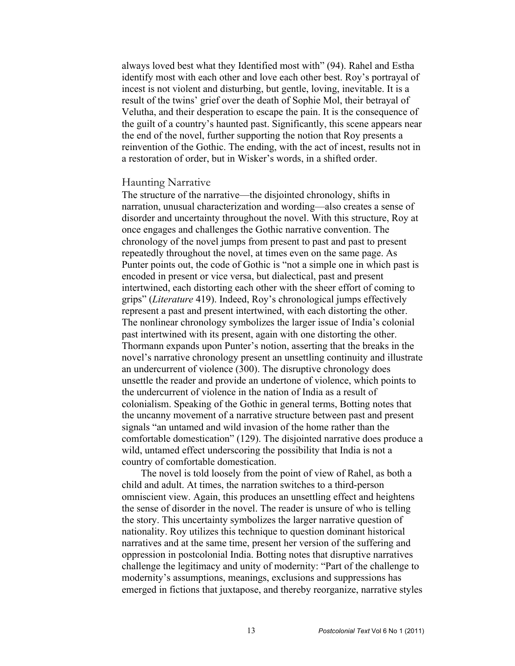always loved best what they Identified most with" (94). Rahel and Estha identify most with each other and love each other best. Roy's portrayal of incest is not violent and disturbing, but gentle, loving, inevitable. It is a result of the twins' grief over the death of Sophie Mol, their betrayal of Velutha, and their desperation to escape the pain. It is the consequence of the guilt of a country's haunted past. Significantly, this scene appears near the end of the novel, further supporting the notion that Roy presents a reinvention of the Gothic. The ending, with the act of incest, results not in a restoration of order, but in Wisker's words, in a shifted order.

## Haunting Narrative

The structure of the narrative—the disjointed chronology, shifts in narration, unusual characterization and wording—also creates a sense of disorder and uncertainty throughout the novel. With this structure, Roy at once engages and challenges the Gothic narrative convention. The chronology of the novel jumps from present to past and past to present repeatedly throughout the novel, at times even on the same page. As Punter points out, the code of Gothic is "not a simple one in which past is encoded in present or vice versa, but dialectical, past and present intertwined, each distorting each other with the sheer effort of coming to grips" (*Literature* 419). Indeed, Roy's chronological jumps effectively represent a past and present intertwined, with each distorting the other. The nonlinear chronology symbolizes the larger issue of India's colonial past intertwined with its present, again with one distorting the other. Thormann expands upon Punter's notion, asserting that the breaks in the novel's narrative chronology present an unsettling continuity and illustrate an undercurrent of violence (300). The disruptive chronology does unsettle the reader and provide an undertone of violence, which points to the undercurrent of violence in the nation of India as a result of colonialism. Speaking of the Gothic in general terms, Botting notes that the uncanny movement of a narrative structure between past and present signals "an untamed and wild invasion of the home rather than the comfortable domestication" (129). The disjointed narrative does produce a wild, untamed effect underscoring the possibility that India is not a country of comfortable domestication.

The novel is told loosely from the point of view of Rahel, as both a child and adult. At times, the narration switches to a third-person omniscient view. Again, this produces an unsettling effect and heightens the sense of disorder in the novel. The reader is unsure of who is telling the story. This uncertainty symbolizes the larger narrative question of nationality. Roy utilizes this technique to question dominant historical narratives and at the same time, present her version of the suffering and oppression in postcolonial India. Botting notes that disruptive narratives challenge the legitimacy and unity of modernity: "Part of the challenge to modernity's assumptions, meanings, exclusions and suppressions has emerged in fictions that juxtapose, and thereby reorganize, narrative styles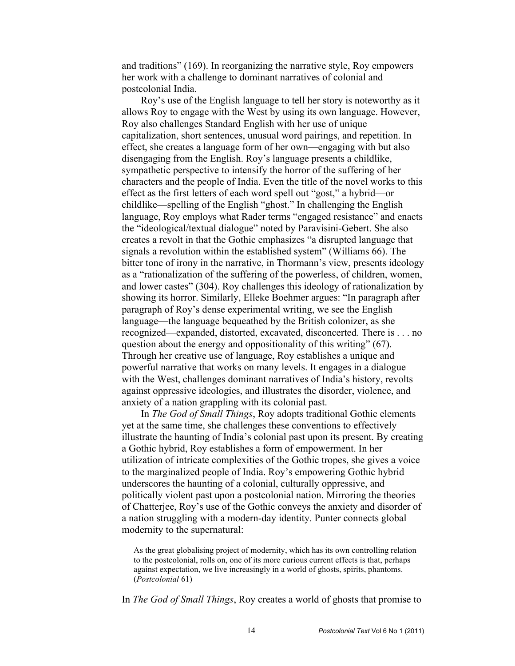and traditions" (169). In reorganizing the narrative style, Roy empowers her work with a challenge to dominant narratives of colonial and postcolonial India.

Roy's use of the English language to tell her story is noteworthy as it allows Roy to engage with the West by using its own language. However, Roy also challenges Standard English with her use of unique capitalization, short sentences, unusual word pairings, and repetition. In effect, she creates a language form of her own—engaging with but also disengaging from the English. Roy's language presents a childlike, sympathetic perspective to intensify the horror of the suffering of her characters and the people of India. Even the title of the novel works to this effect as the first letters of each word spell out "gost," a hybrid—or childlike—spelling of the English "ghost." In challenging the English language, Roy employs what Rader terms "engaged resistance" and enacts the "ideological/textual dialogue" noted by Paravisini-Gebert. She also creates a revolt in that the Gothic emphasizes "a disrupted language that signals a revolution within the established system" (Williams 66). The bitter tone of irony in the narrative, in Thormann's view, presents ideology as a "rationalization of the suffering of the powerless, of children, women, and lower castes" (304). Roy challenges this ideology of rationalization by showing its horror. Similarly, Elleke Boehmer argues: "In paragraph after paragraph of Roy's dense experimental writing, we see the English language—the language bequeathed by the British colonizer, as she recognized—expanded, distorted, excavated, disconcerted. There is . . . no question about the energy and oppositionality of this writing" (67). Through her creative use of language, Roy establishes a unique and powerful narrative that works on many levels. It engages in a dialogue with the West, challenges dominant narratives of India's history, revolts against oppressive ideologies, and illustrates the disorder, violence, and anxiety of a nation grappling with its colonial past.

In *The God of Small Things*, Roy adopts traditional Gothic elements yet at the same time, she challenges these conventions to effectively illustrate the haunting of India's colonial past upon its present. By creating a Gothic hybrid, Roy establishes a form of empowerment. In her utilization of intricate complexities of the Gothic tropes, she gives a voice to the marginalized people of India. Roy's empowering Gothic hybrid underscores the haunting of a colonial, culturally oppressive, and politically violent past upon a postcolonial nation. Mirroring the theories of Chatterjee, Roy's use of the Gothic conveys the anxiety and disorder of a nation struggling with a modern-day identity. Punter connects global modernity to the supernatural:

As the great globalising project of modernity, which has its own controlling relation to the postcolonial, rolls on, one of its more curious current effects is that, perhaps against expectation, we live increasingly in a world of ghosts, spirits, phantoms. (*Postcolonial* 61)

In *The God of Small Things*, Roy creates a world of ghosts that promise to